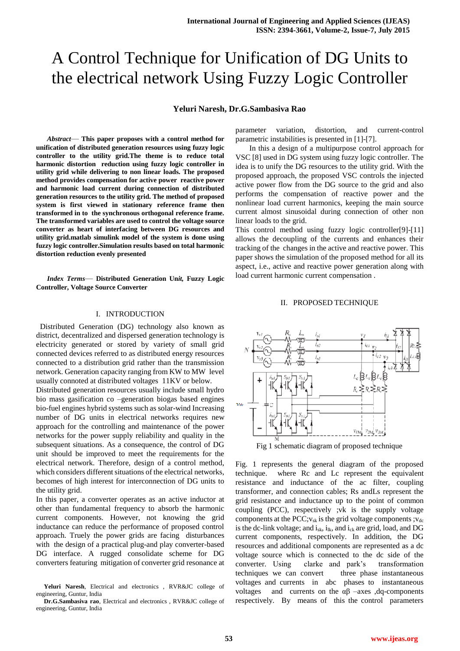# A Control Technique for Unification of DG Units to the electrical network Using Fuzzy Logic Controller

## **Yeluri Naresh, Dr.G.Sambasiva Rao**

*Abstract*— **This paper proposes with a control method for unification of distributed generation resources using fuzzy logic controller to the utility grid.The theme is to reduce total harmonic distortion reduction using fuzzy logic controller in utility grid while delivering to non linear loads. The proposed method provides compensation for active power reactive power and harmonic load current during connection of distributed generation resources to the utility grid. The method of proposed system is first viewed in stationary reference frame then transformed in to the synchronous orthogonal reference frame. The transformed variables are used to control the voltage source converter as heart of interfacing between DG resources and utility grid.matlab simulink model of the system is done using fuzzy logic controller.Simulation results based on total harmonic distortion reduction evenly presented**

*Index Terms*— **Distributed Generation Un***it,* **Fuzzy Logic Controller, Voltage Source Converter**

#### I. INTRODUCTION

 Distributed Generation (DG) technology also known as district, decentralized and dispersed generation technology is electricity generated or stored by variety of small grid connected devices referred to as distributed energy resources connected to a distribution grid rather than the transmission network. Generation capacity ranging from KW to MW level usually connoted at distributed voltages 11KV or below.

Distributed generation resources usually include small hydro bio mass gasification co –generation biogas based engines bio-fuel engines hybrid systems such as solar-wind Increasing number of DG units in electrical networks requires new approach for the controlling and maintenance of the power networks for the power supply reliability and quality in the subsequent situations. As a consequence, the control of DG unit should be improved to meet the requirements for the electrical network. Therefore, design of a control method, which considers different situations of the electrical networks, becomes of high interest for interconnection of DG units to the utility grid.

In this paper, a converter operates as an active inductor at other than fundamental frequency to absorb the harmonic current components. However, not knowing the grid inductance can reduce the performance of proposed control approach. Truely the power grids are facing disturbances with the design of a practical plug-and play converter-based DG interface. A rugged consolidate scheme for DG converters featuring mitigation of converter grid resonance at

parameter variation, distortion, and current-control parametric instabilities is presented in [1]-[7].

In this a design of a multipurpose control approach for VSC [8] used in DG system using fuzzy logic controller. The idea is to unify the DG resources to the utility grid. With the proposed approach, the proposed VSC controls the injected active power flow from the DG source to the grid and also performs the compensation of reactive power and the nonlinear load current harmonics, keeping the main source current almost sinusoidal during connection of other non linear loads to the grid.

This control method using fuzzy logic controller[9]-[11] allows the decoupling of the currents and enhances their tracking of the changes in the active and reactive power. This paper shows the simulation of the proposed method for all its aspect, i.e., active and reactive power generation along with load current harmonic current compensation .

### II. PROPOSED TECHNIQUE



Fig 1 schematic diagram of proposed technique

Fig. 1 represents the general diagram of the proposed technique. where Rc and Lc represent the equivalent resistance and inductance of the ac filter, coupling transformer, and connection cables; Rs andLs represent the grid resistance and inductance up to the point of common coupling (PCC), respectively ;vk is the supply voltage components at the PCC; $v_{sk}$  is the grid voltage components ; $v_{dc}$ is the dc-link voltage; and  $i_{sk}$ ,  $i_{lk}$ , and  $i_{ck}$  are grid, load, and DG current components, respectively. In addition, the DG resources and additional components are represented as a dc voltage source which is connected to the dc side of the converter. Using clarke and park's transformation techniques we can convert three phase instantaneous voltages and currents in abc phases to instantaneous voltages and currents on the  $αβ$  –axes ,dq-components respectively. By means of this the control parameters

**Yeluri Naresh**, Electrical and electronics , RVR&JC college of engineering, Guntur, India

**Dr.G.Sambasiva rao**, Electrical and electronics , RVR&JC college of engineering, Guntur, India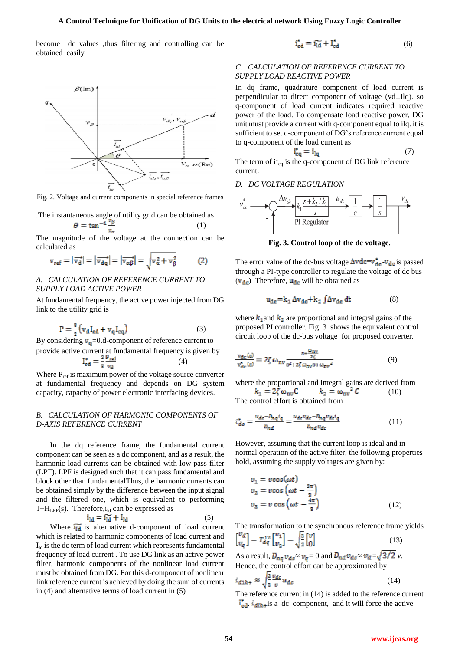become dc values ,thus filtering and controlling can be obtained easily



Fig. 2. Voltage and current components in special reference frames

The instantaneous angle of utility grid can be obtained as  
\n
$$
\theta = \tan^{-1} \frac{v_{\beta}}{r}
$$
\n(1)

The magnitude of the voltage at the connection can be calculated as

$$
\mathbf{v}_{\text{ref}} = |\overrightarrow{\mathbf{v}_{\text{d}}}| = |\overrightarrow{\mathbf{v}_{\text{d}q}}| = |\overrightarrow{\mathbf{v}_{\alpha\beta}}| = \sqrt{\mathbf{v}_{\alpha}^2 + \mathbf{v}_{\beta}^2} \tag{2}
$$

## *A. CALCULATION OF REFERENCE CURRENT TO SUPPLY LOAD ACTIVE POWER*

At fundamental frequency, the active power injected from DG link to the utility grid is

$$
P = \frac{3}{2} \left( v_d I_{cd} + v_q I_{eq} \right) \tag{3}
$$

By considering  $v_q$ =0.d-component of reference current to provide active current at fundamental frequency is given by<br>  $I_{\text{ad}}^* = \frac{2 \text{ } P_{\text{ref}}}{4}$  (4) (4)

Where 
$$
P_{\text{ref}}
$$
 is maximum power of the voltage source converter at fundamental frequency and depends on DG system capacity, capacity of power electronic interfacing devices.

# *B. CALCULATION OF HARMONIC COMPONENTS OF D-AXIS REFERENCE CURRENT*

In the dq reference frame, the fundamental current component can be seen as a dc component, and as a result, the harmonic load currents can be obtained with low-pass filter (LPF). LPF is designed such that it can pass fundamental and block other than fundamentalThus, the harmonic currents can be obtained simply by the difference between the input signal and the filtered one, which is equivalent to performing  $1-H_{LPF}(s)$ . Therefore, $i_{ld}$  can be expressed as

$$
i_{1d} = \widetilde{i_{1d}} + I_{1d} \tag{5}
$$

Where  $\overline{\mathbf{u}_{\mathsf{Id}}}$  is alternative d-component of load current which is related to harmonic components of load current and  $I<sub>ld</sub>$  is the dc term of load current which represents fundamental frequency of load current . To use DG link as an active power filter, harmonic components of the nonlinear load current must be obtained from DG. For this d-component of nonlinear link reference current is achieved by doing the sum of currents in (4) and alternative terms of load current in (5)

$$
\mathbf{i}_{\mathrm{cd}}^* = \mathbf{i}_{\mathrm{Id}}^* + \mathbf{l}_{\mathrm{cd}}^* \tag{6}
$$

## *C. CALCULATION OF REFERENCE CURRENT TO SUPPLY LOAD REACTIVE POWER*

In dq frame, quadrature component of load current is perpendicular to direct component of voltage (vd⊥ilq). so q-component of load current indicates required reactive power of the load. To compensate load reactive power, DG unit must provide a current with q-component equal to ilq. it is sufficient to set q-component of DG's reference current equal to q-component of the load current as

$$
\mathbf{i}_{\mathbf{q}}^* = \mathbf{i}_{\mathbf{l}\mathbf{q}} \tag{7}
$$

The term of  $i_{cq}$  is the q-component of DG link reference current.

# *D. DC VOLTAGE REGULATION*



**Fig. 3. Control loop of the dc voltage.**

The error value of the dc-bus voltage  $\Delta v \, \text{d}c = v_{\text{d}c}^* - v_{\text{d}c}$  is passed through a PI-type controller to regulate the voltage of dc bus  $(v_{dc})$ . Therefore,  $u_{dc}$  will be obtained as

$$
u_{dc} = k_1 \Delta v_{dc} + k_2 \int \Delta v_{dc} dt
$$
 (8)

where  $k_1$  and  $k_2$  are proportional and integral gains of the proposed PI controller. Fig. 3 shows the equivalent control circuit loop of the dc-bus voltage for proposed converter.

$$
\frac{v_{\text{dc}}(s)}{v_{\text{dc}}^*(s)} = 2\zeta \omega_{\text{nv}} \frac{s + \frac{\omega_{\text{nv}}}{2\zeta}}{s^2 + 2\zeta \omega_{\text{nv}} s + \omega_{\text{nv}}^2}
$$
(9)

where the proportional and integral gains are derived from  $k_1 = 2\zeta \omega_{\text{nv}} C$   $k_2 = \omega_{\text{nv}}^2 C$  (10)

The control effort is obtained from

$$
i_{do}^* = \frac{u_{de} - p_{nq} i_q}{p_{nd}} = \frac{u_{de} v_{de} - p_{nq} v_{de} i_q}{p_{nd} v_{de}}
$$
(11)

However, assuming that the current loop is ideal and in normal operation of the active filter, the following properties hold, assuming the supply voltages are given by:

$$
v_1 = v\cos(\omega t)
$$
  
\n
$$
v_2 = v\cos\left(\omega t - \frac{2\pi}{3}\right)
$$
  
\n
$$
v_3 = v\cos\left(\omega t - \frac{4\pi}{3}\right)
$$
 (12)

The transformation to the synchronous reference frame yields

$$
\begin{bmatrix} \nu_d \\ \nu_q \end{bmatrix} = T_{dq}^{12} \begin{bmatrix} \nu_1 \\ \nu_2 \end{bmatrix} = \sqrt{\frac{3}{2}} \begin{bmatrix} \nu \\ 0 \end{bmatrix}
$$
(13)

As a result,  $D_{nq} v_{dc} \approx v_q = 0$  and  $D_{nd} v_{dc} \approx v_d = \sqrt{3/2} v$ . Hence, the control effort can be approximated by  $i_{d1h+} \approx \sqrt{\frac{2}{3}} \frac{v_{dc}}{v} u_{dc} \tag{14} \label{eq:14}$ 

The reference current in (14) is added to the reference current  $i_{cd}^*$ ,  $i_{dlh+}$  is a dc component, and it will force the active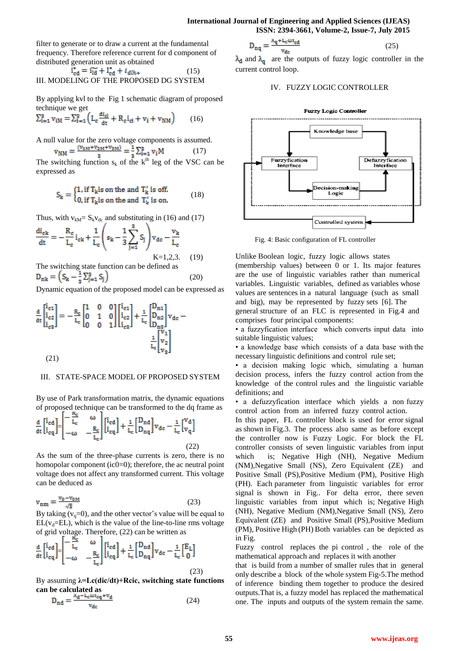### **International Journal of Engineering and Applied Sciences (IJEAS) ISSN: 2394-3661, Volume-2, Issue-7, July 2015**

filter to generate or to draw a current at the fundamental frequency. Therefore reference current for d component of distributed generation unit as obtained

$$
\mathbf{i}_{\text{cd}}^* = \mathbf{i}_{\text{Id}}^* + \mathbf{l}_{\text{cd}}^* + i_{\text{d}lh_+}
$$
 (15)  
III. MODELING OF THE PROPOSED DG SYSTEM

By applying kvl to the Fig 1 schematic diagram of proposed technique we get

$$
\sum_{i=1}^{3} v_{iM} = \sum_{i=1}^{3} \left( L_c \frac{di_{ci}}{dt} + R_c i_{ci} + v_i + v_{NM} \right) \tag{16}
$$

A null value for the zero voltage components is assumed.

$$
v_{NM} = \frac{(v_{1M} + v_{2M} + v_{3M})}{3} = \frac{1}{3} \sum_{i=1}^{3} v_i M \tag{17}
$$

The switching function  $s_k$  of the k<sup>th</sup> leg of the VSC can be expressed as

$$
S_k = \begin{cases} 1, \text{ if } T_k \text{ is on the and } T'_k \text{ is off.} \\ 0, \text{ if } T_k \text{ is on the and } T'_k \text{ is on.} \end{cases} \tag{18}
$$

Thus, with  $v_{kM} = S_k v_{dc}$  and substituting in (16) and (17)

$$
\frac{di_{ck}}{dt} = -\frac{R_c}{L_c}i_{ck} + \frac{1}{L_c}\left(s_k - \frac{1}{3}\sum_{j=1}^{s} S_j\right)v_{dc} - \frac{v_k}{L_c}
$$
\n
$$
K=1,2,3.
$$
\n(19)

The switching state function can be defined as  $D_{nk} = (S_k - \frac{1}{3} \sum_{j=1}^{3} S_j)$  (20)

Dynamic equation of the proposed model can be expressed as

$$
\frac{d}{dt} \begin{bmatrix} i_{c1} \\ i_{c2} \\ i_{c3} \end{bmatrix} = -\frac{R_c}{L_c} \begin{bmatrix} 1 & 0 & 0 \\ 0 & 1 & 0 \\ 0 & 0 & 1 \end{bmatrix} \begin{bmatrix} i_{c1} \\ i_{c2} \\ i_{c3} \end{bmatrix} + \frac{1}{L_c} \begin{bmatrix} D_{n1} \\ D_{n2} \\ D_{n3} \end{bmatrix} v_{dc} - \frac{1}{L_c} \begin{bmatrix} v_1 \\ v_2 \\ v_3 \end{bmatrix}
$$
\n(21)

### III. STATE-SPACE MODEL OF PROPOSED SYSTEM

By use of Park transformation matrix, the dynamic equations of proposed technique can be transformed to the dq frame as

$$
\frac{d}{dt} \begin{bmatrix} i_{cd} \\ i_{cq} \end{bmatrix} = \begin{bmatrix} -\frac{\alpha_c}{L_c} & \omega \\ -\omega & -\frac{R_c}{L_c} \end{bmatrix} \begin{bmatrix} i_{cd} \\ i_{cq} \end{bmatrix} + \frac{1}{L_c} \begin{bmatrix} D_{nd} \\ D_{nq} \end{bmatrix} v_{dc} - \frac{1}{L_c} \begin{bmatrix} v_d \\ v_q \end{bmatrix}
$$
\n(22)

As the sum of the three-phase currents is zero, there is no homopolar component (ic0=0); therefore, the ac neutral point voltage does not affect any transformed current. This voltage can be deduced as

$$
v_{nm} = \frac{v_0 - v_{0M}}{\sqrt{3}}\tag{23}
$$

By taking  $(v_q=0)$ , and the other vector's value will be equal to  $EL(v<sub>d</sub>=EL)$ , which is the value of the line-to-line rms voltage of grid voltage. Therefore, (22) can be written as

$$
\frac{d}{dt} \begin{bmatrix} i_{cd} \\ i_{cq} \end{bmatrix} = \begin{bmatrix} -\frac{1}{L_c} & \omega \\ -\omega & -\frac{R_c}{L_c} \end{bmatrix} \begin{bmatrix} i_{cd} \\ i_{cq} \end{bmatrix} + \frac{1}{L_c} \begin{bmatrix} D_{nd} \\ D_{nq} \end{bmatrix} v_{dc} - \frac{1}{L_c} \begin{bmatrix} E_L \\ 0 \end{bmatrix}
$$
\n(23)

By assuming **λ=Lc(dic/dt)+Rcic, switching state functions can be calculated as**

$$
D_{nd} = \frac{\lambda_d - L_c \omega_{lcq} + v_d}{v_{dc}}
$$
 (24)

$$
D_{nq} = \frac{\lambda_q + L_c \omega_{\text{td}}}{v_{\text{dc}}}
$$
 (25)

 $\lambda_d$  and  $\lambda_q$  are the outputs of fuzzy logic controller in the current control loop.

### IV. FUZZY LOGIC CONTROLLER



Fig. 4: Basic configuration of FL controller

Unlike Boolean logic, fuzzy logic allows states (membership values) between 0 or 1. Its major features are the use of linguistic variables rather than numerical variables. Linguistic variables, defined as variables whose values are sentences in a natural language (such as small and big), may be represented by fuzzy sets [6]. The general structure of an FLC is represented in Fig.4 and

comprises four principal components: • a fuzzyfication interface which converts input data into suitable linguistic values;

• a knowledge base which consists of a data base with the necessary linguistic definitions and control rule set;

• a decision making logic which, simulating a human decision process, infers the fuzzy control action from the knowledge of the control rules and the linguistic variable definitions; and

• a defuzzyfication interface which yields a non fuzzy control action from an inferred fuzzy control action.

In this paper, FL controller block is used for error signal as shown in Fig.3. The process also same as before except the controller now is Fuzzy Logic. For block the FL controller consists of seven linguistic variables from input which is; Negative High (NH), Negative Medium (NM),Negative Small (NS), Zero Equivalent (ZE) and Positive Small (PS),Positive Medium (PM), Positive High (PH). Each parameter from linguistic variables for error signal is shown in Fig.. For delta error, there seven linguistic variables from input which is; Negative High (NH), Negative Medium (NM),Negative Small (NS), Zero Equivalent (ZE) and Positive Small (PS),Positive Medium (PM), Positive High (PH) Both variables can be depicted as in Fig.

Fuzzy control replaces the pi control , the role of the mathematical approach and replaces it with another

that is build from a number of smaller rules that in general only describe a block of the whole system Fig-5.The method of inference binding them together to produce the desired outputs.That is, a fuzzy model has replaced the mathematical one. The inputs and outputs of the system remain the same.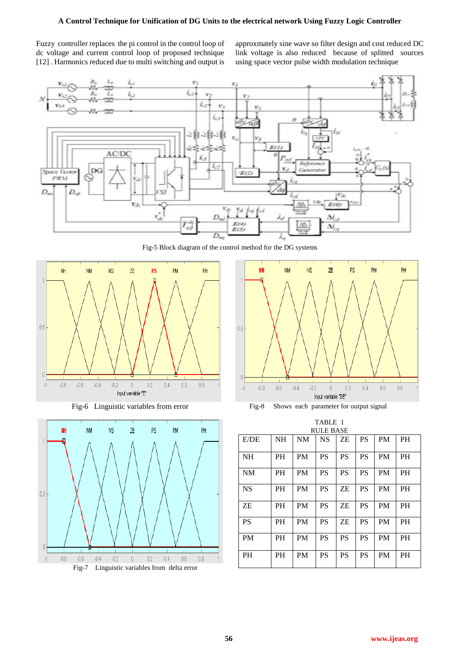## **A Control Technique for Unification of DG Units to the electrical network Using Fuzzy Logic Controller**

Fuzzy controller replaces the pi control in the control loop of dc voltage and current control loop of proposed technique [12]. Harmonics reduced due to multi switching and output is approxmately sine wave so filter design and cost reduced DC link voltage is also reduced because of splitted sources using space vector pulse width modulation technique



Fig-5 Block diagram of the control method for the DG systems











| <b>RULE BASE</b> |           |           |           |           |           |           |           |
|------------------|-----------|-----------|-----------|-----------|-----------|-----------|-----------|
| E/DE             | <b>NH</b> | <b>NM</b> | <b>NS</b> | ZΕ        | <b>PS</b> | <b>PM</b> | <b>PH</b> |
| <b>NH</b>        | <b>PH</b> | <b>PM</b> | <b>PS</b> | <b>PS</b> | <b>PS</b> | <b>PM</b> | <b>PH</b> |
| <b>NM</b>        | <b>PH</b> | <b>PM</b> | <b>PS</b> | <b>PS</b> | <b>PS</b> | <b>PM</b> | <b>PH</b> |
| <b>NS</b>        | <b>PH</b> | <b>PM</b> | <b>PS</b> | ΖE        | <b>PS</b> | <b>PM</b> | <b>PH</b> |
| ZΕ               | <b>PH</b> | <b>PM</b> | <b>PS</b> | ΖE        | <b>PS</b> | <b>PM</b> | <b>PH</b> |
| <b>PS</b>        | <b>PH</b> | <b>PM</b> | <b>PS</b> | ΖE        | <b>PS</b> | <b>PM</b> | <b>PH</b> |
| <b>PM</b>        | <b>PH</b> | <b>PM</b> | <b>PS</b> | <b>PS</b> | <b>PS</b> | <b>PM</b> | <b>PH</b> |
| <b>PH</b>        | <b>PH</b> | <b>PM</b> | <b>PS</b> | <b>PS</b> | <b>PS</b> | <b>PM</b> | <b>PH</b> |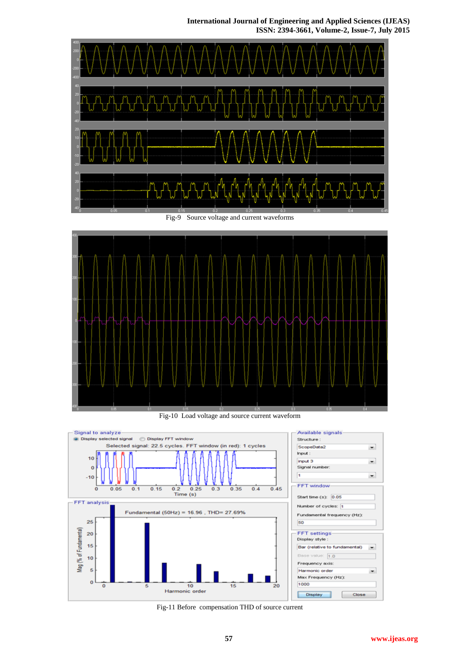# **International Journal of Engineering and Applied Sciences (IJEAS) ISSN: 2394-3661, Volume-2, Issue-7, July 2015**





Fig-10 Load voltage and source current waveform



Fig-11 Before compensation THD of source current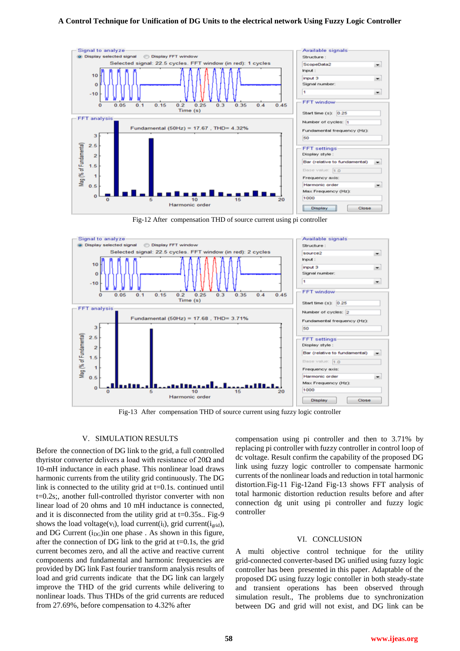### **A Control Technique for Unification of DG Units to the electrical network Using Fuzzy Logic Controller**



Fig-12 After compensation THD of source current using pi controller



Fig-13After compensation THD of source current using fuzzy logic controller

#### V. SIMULATION RESULTS

Before the connection of DG link to the grid, a full controlled thyristor converter delivers a load with resistance of  $20\Omega$  and 10-mH inductance in each phase. This nonlinear load draws harmonic currents from the utility grid continuously. The DG link is connected to the utility grid at  $t=0.1$ s. continued until t=0.2s;, another full-controlled thyristor converter with non linear load of 20 ohms and 10 mH inductance is connected, and it is disconnected from the utility grid at  $t=0.35s$ .. Fig-9 shows the load voltage(v<sub>l</sub>), load current(i<sub>l</sub>), grid current(i<sub>grid</sub>), and DG Current  $(i_{DG})$ in one phase . As shown in this figure, after the connection of DG link to the grid at  $t=0.1$ s, the grid current becomes zero, and all the active and reactive current components and fundamental and harmonic frequencies are provided by DG link Fast fourier transform analysis results of load and grid currents indicate that the DG link can largely improve the THD of the grid currents while delivering to nonlinear loads. Thus THDs of the grid currents are reduced from 27.69%, before compensation to 4.32% after

compensation using pi controller and then to 3.71% by replacing pi controller with fuzzy controller in control loop of dc voltage. Result confirm the capability of the proposed DG link using fuzzy logic controller to compensate harmonic currents of the nonlinear loads and reduction in total harmonic distortion.Fig-11 Fig-12and Fig-13 shows FFT analysis of total harmonic distortion reduction results before and after connection dg unit using pi controller and fuzzy logic controller

#### VI. CONCLUSION

A multi objective control technique for the utility grid-connected converter-based DG unified using fuzzy logic controller has been presented in this paper. Adaptable of the proposed DG using fuzzy logic contoller in both steady-state and transient operations has been observed through simulation result., The problems due to synchronization between DG and grid will not exist, and DG link can be